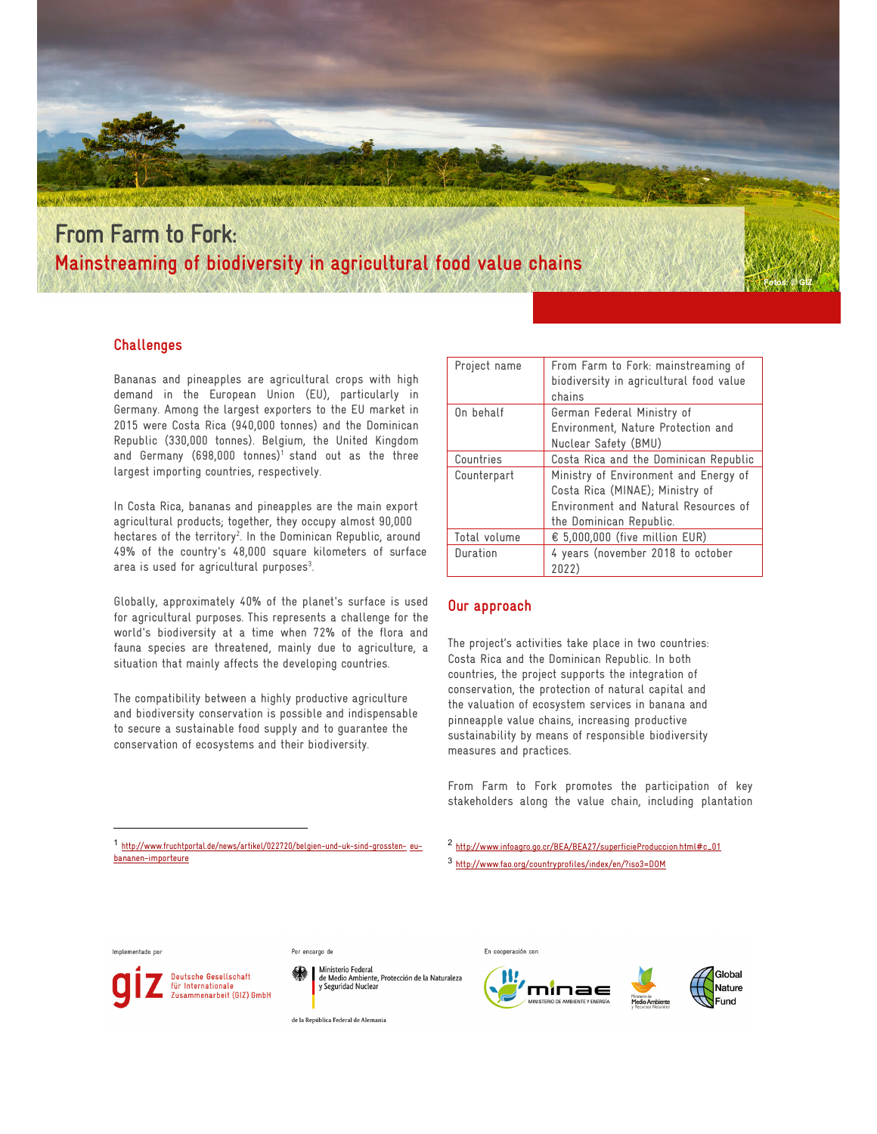

# **From Farm to Fork: Mainstreaming of biodiversity in agricultural food value chains**

### **Challenges**

Bananas and pineapples are agricultural crops with high demand in the European Union (EU), particularly in Germany. Among the largest exporters to the EU market in 2015 were Costa Rica (940,000 tonnes) and the Dominican Republic (330,000 tonnes). Belgium, the United Kingdom and Germany (698,000 tonnes)<sup>1</sup> stand out as the three largest importing countries, respectively.

In Costa Rica, bananas and pineapples are the main export agricultural products; together, they occupy almost 90,000 hectares of the territory<sup>2</sup>. In the Dominican Republic, around 49% of the country's 48,000 square kilometers of surface area is used for agricultural purposes<sup>3</sup>. .

Globally, approximately 40% of the planet's surface is used for agricultural purposes. This represents a challenge for the world's biodiversity at a time when 72% of the flora and fauna species are threatened, mainly due to agriculture, a situation that mainly affects the developing countries.

The compatibility between a highly productive agriculture and biodiversity conservation is possible and indispensable to secure a sustainable food supply and to guarantee the conservation of ecosystems and their biodiversity.

| Project name | From Farm to Fork: mainstreaming of     |  |  |  |
|--------------|-----------------------------------------|--|--|--|
|              | biodiversity in agricultural food value |  |  |  |
|              | chains                                  |  |  |  |
| On behalf    | German Federal Ministry of              |  |  |  |
|              | Environment, Nature Protection and      |  |  |  |
|              | Nuclear Safety (BMU)                    |  |  |  |
| Countries    | Costa Rica and the Dominican Republic   |  |  |  |
| Counterpart  | Ministry of Environment and Energy of   |  |  |  |
|              | Costa Rica (MINAE); Ministry of         |  |  |  |
|              | Environment and Natural Resources of    |  |  |  |
|              | the Dominican Republic.                 |  |  |  |
| Total volume | € 5,000,000 (five million EUR)          |  |  |  |
| Duration     | 4 years (november 2018 to october       |  |  |  |
|              | 2022)                                   |  |  |  |

#### **Our approach**

The project's activities take place in two countries: Costa Rica and the Dominican Republic. In both countries, the project supports the integration of conservation, the protection of natural capital and the valuation of ecosystem services in banana and pinneapple value chains, increasing productive sustainability by means of responsible biodiversity measures and practices.

From Farm to Fork promotes the participation of key stakeholders along the value chain, including plantation

<sup>1</sup> http://www.fruchtportal.de/news/artikel/022720/belgien-und-uk-sind-grossten- eubananen-importeure

<sup>2</sup> http://www.infoagro.go.cr/BEA/BEA27/superficieProduccion.html#c\_01

<sup>3</sup> http://www.fao.org/countryprofiles/index/en/?iso3=DOM

#### Implementado por

 $\overline{a}$ 



Por encargo de

Ministerio Federal<br>de Medio Ambiente, Protección de la Naturaleza<br>y Seguridad Nuclear

En cooperación con





**Fotos: © GIZ** 

de la República Federal de Alemania